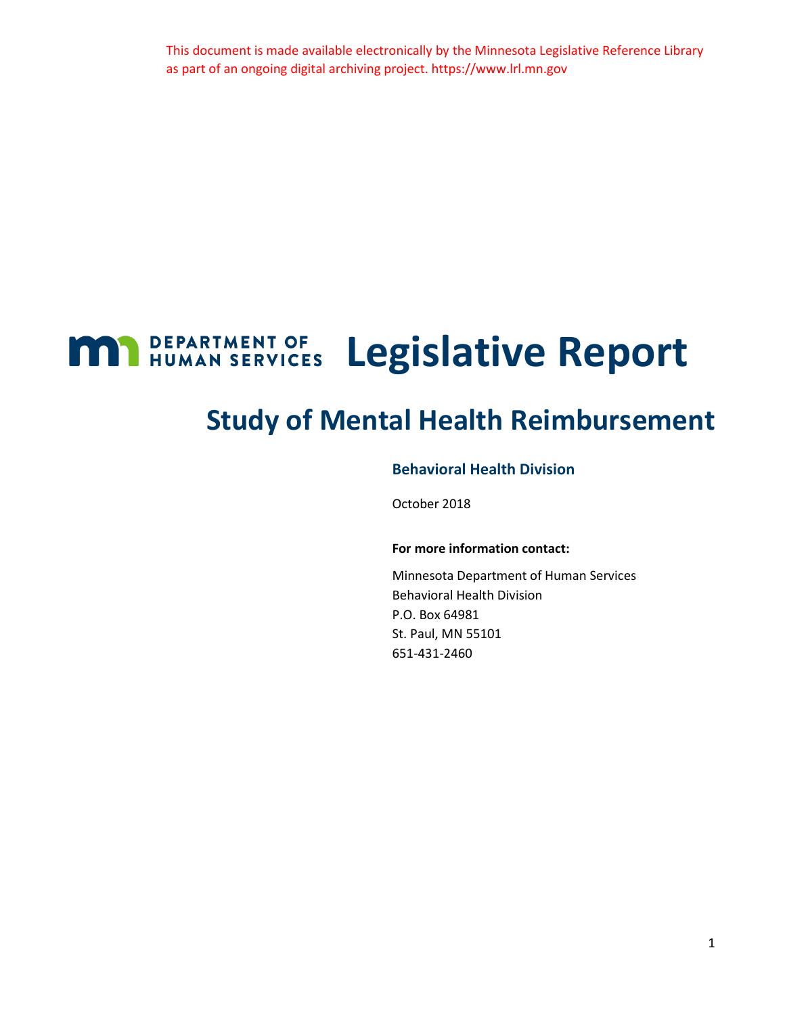This document is made available electronically by the Minnesota Legislative Reference Library as part of an ongoing digital archiving project. https://www.lrl.mn.gov

# <span id="page-0-0"></span>**M1** BEPARTMENT OF Legislative Report

## **Study of Mental Health Reimbursement**

### **Behavioral Health Division**

October 2018

#### **For more information contact:**

Minnesota Department of Human Services Behavioral Health Division P.O. Box 64981 St. Paul, MN 55101 651-431-2460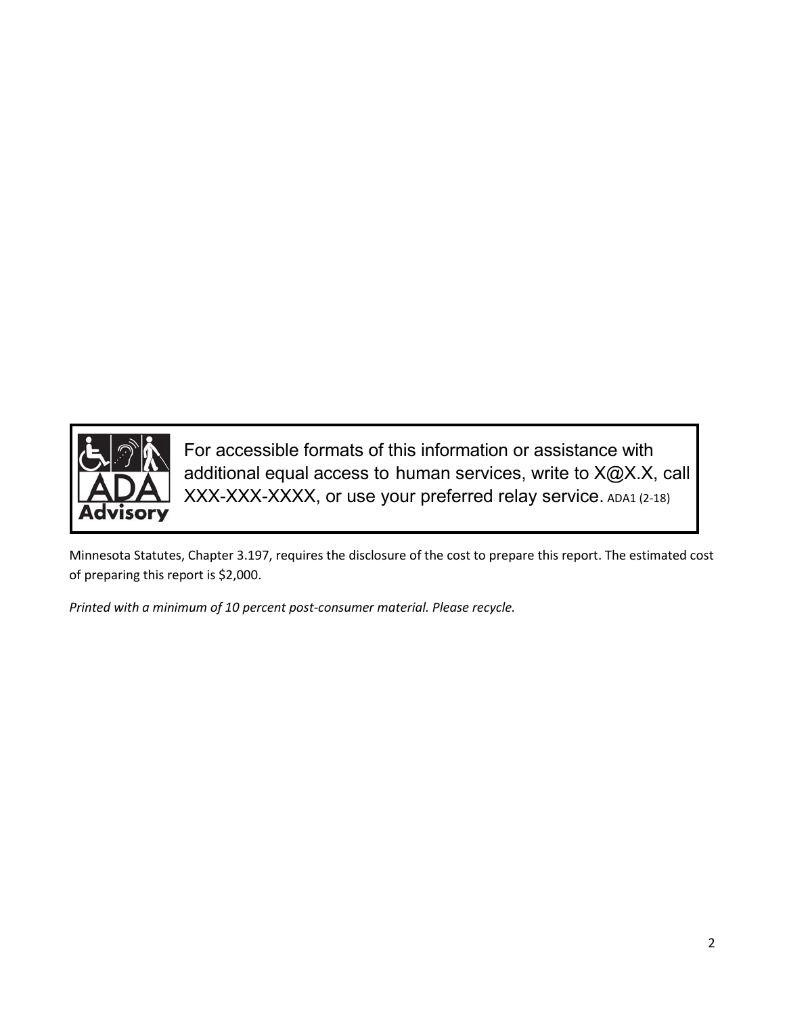

For accessible formats of this information or assistance with additional equal access to human services, write to X@X.X, call XXX-XXX-XXXX, or use your preferred relay service. ADA1 (2-18)

Minnesota Statutes, Chapter 3.197, requires the disclosure of the cost to prepare this report. The estimated cost of preparing this report is \$2,000.

*Printed with a minimum of 10 percent post-consumer material. Please recycle.*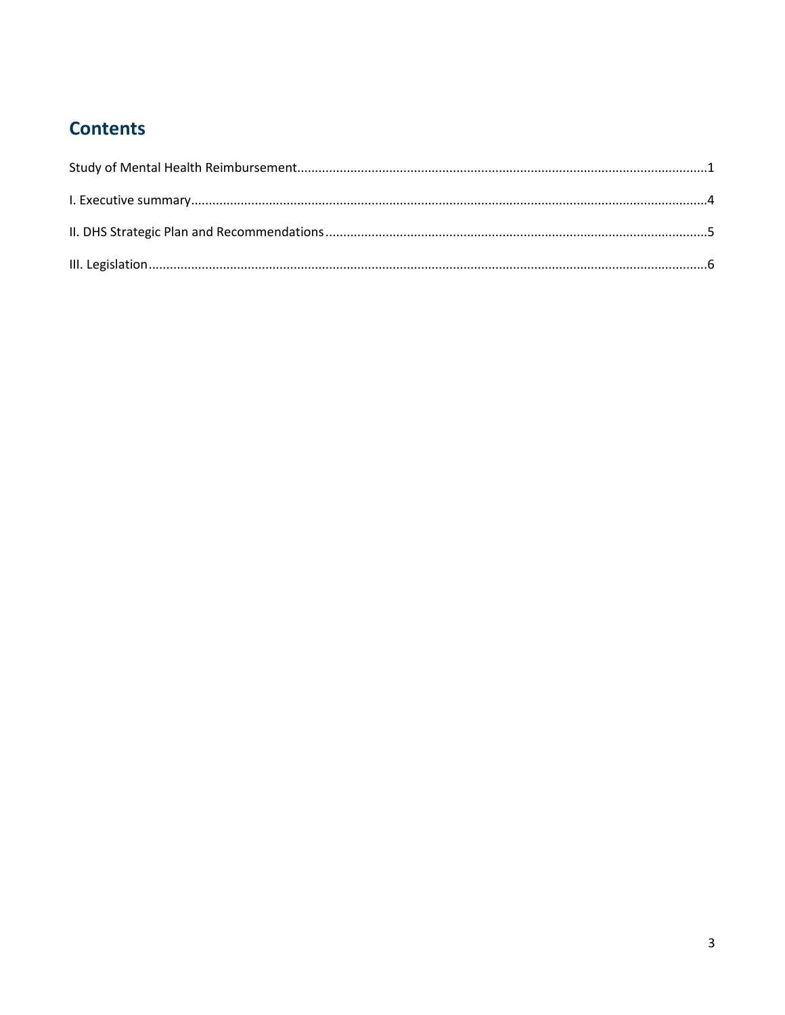## **Contents**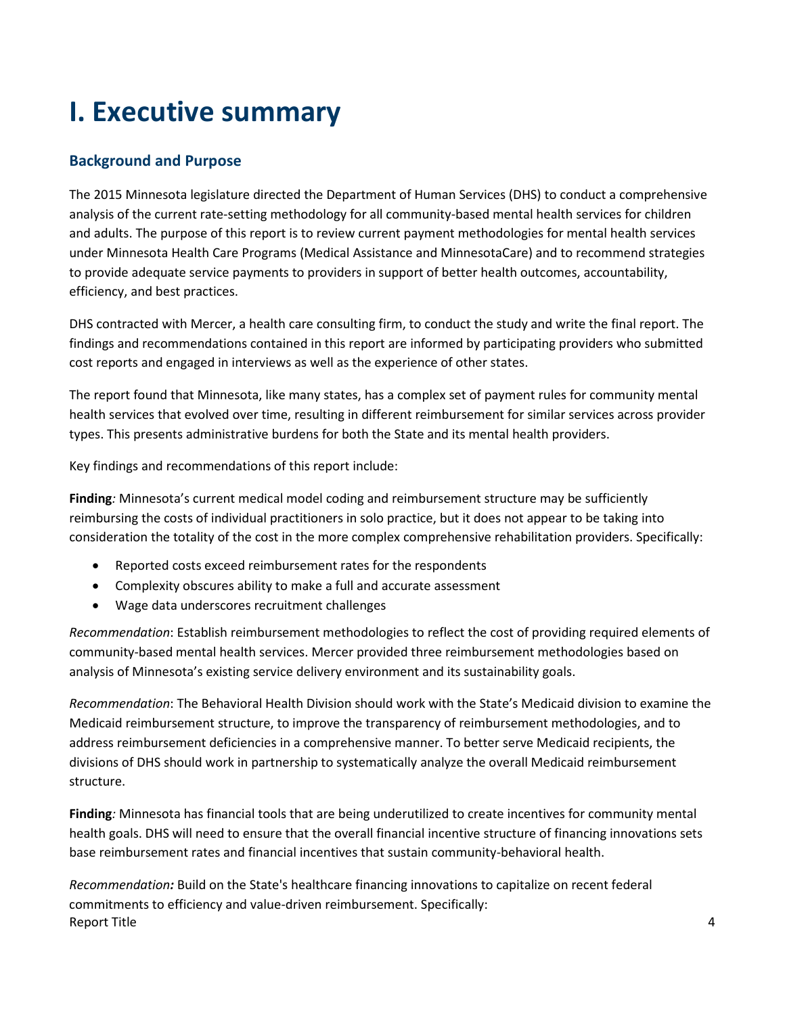## <span id="page-3-0"></span>**I. Executive summary**

### **Background and Purpose**

The 2015 Minnesota legislature directed the Department of Human Services (DHS) to conduct a comprehensive analysis of the current rate-setting methodology for all community-based mental health services for children and adults. The purpose of this report is to review current payment methodologies for mental health services under Minnesota Health Care Programs (Medical Assistance and MinnesotaCare) and to recommend strategies to provide adequate service payments to providers in support of better health outcomes, accountability, efficiency, and best practices.

DHS contracted with Mercer, a health care consulting firm, to conduct the study and write the final report. The findings and recommendations contained in this report are informed by participating providers who submitted cost reports and engaged in interviews as well as the experience of other states.

The report found that Minnesota, like many states, has a complex set of payment rules for community mental health services that evolved over time, resulting in different reimbursement for similar services across provider types. This presents administrative burdens for both the State and its mental health providers.

Key findings and recommendations of this report include:

**Finding***:* Minnesota's current medical model coding and reimbursement structure may be sufficiently reimbursing the costs of individual practitioners in solo practice, but it does not appear to be taking into consideration the totality of the cost in the more complex comprehensive rehabilitation providers. Specifically:

- Reported costs exceed reimbursement rates for the respondents
- Complexity obscures ability to make a full and accurate assessment
- Wage data underscores recruitment challenges

*Recommendation*: Establish reimbursement methodologies to reflect the cost of providing required elements of community-based mental health services. Mercer provided three reimbursement methodologies based on analysis of Minnesota's existing service delivery environment and its sustainability goals.

*Recommendation*: The Behavioral Health Division should work with the State's Medicaid division to examine the Medicaid reimbursement structure, to improve the transparency of reimbursement methodologies, and to address reimbursement deficiencies in a comprehensive manner. To better serve Medicaid recipients, the divisions of DHS should work in partnership to systematically analyze the overall Medicaid reimbursement structure.

**Finding***:* Minnesota has financial tools that are being underutilized to create incentives for community mental health goals. DHS will need to ensure that the overall financial incentive structure of financing innovations sets base reimbursement rates and financial incentives that sustain community-behavioral health.

Report Title 4 *Recommendation:* Build on the State's healthcare financing innovations to capitalize on recent federal commitments to efficiency and value-driven reimbursement. Specifically: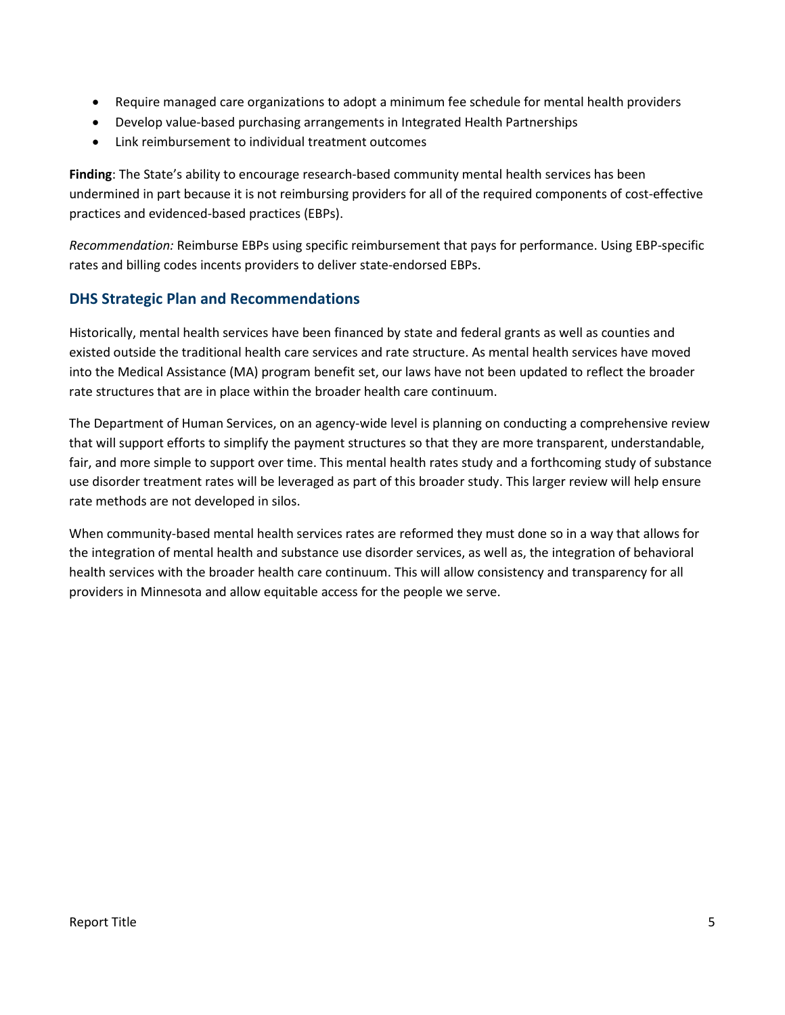- Require managed care organizations to adopt a minimum fee schedule for mental health providers
- Develop value-based purchasing arrangements in Integrated Health Partnerships
- Link reimbursement to individual treatment outcomes

**Finding**: The State's ability to encourage research-based community mental health services has been undermined in part because it is not reimbursing providers for all of the required components of cost-effective practices and evidenced-based practices (EBPs).

*Recommendation:* Reimburse EBPs using specific reimbursement that pays for performance. Using EBP-specific rates and billing codes incents providers to deliver state-endorsed EBPs.

### <span id="page-4-0"></span>**DHS Strategic Plan and Recommendations**

Historically, mental health services have been financed by state and federal grants as well as counties and existed outside the traditional health care services and rate structure. As mental health services have moved into the Medical Assistance (MA) program benefit set, our laws have not been updated to reflect the broader rate structures that are in place within the broader health care continuum.

The Department of Human Services, on an agency-wide level is planning on conducting a comprehensive review that will support efforts to simplify the payment structures so that they are more transparent, understandable, fair, and more simple to support over time. This mental health rates study and a forthcoming study of substance use disorder treatment rates will be leveraged as part of this broader study. This larger review will help ensure rate methods are not developed in silos.

When community-based mental health services rates are reformed they must done so in a way that allows for the integration of mental health and substance use disorder services, as well as, the integration of behavioral health services with the broader health care continuum. This will allow consistency and transparency for all providers in Minnesota and allow equitable access for the people we serve.